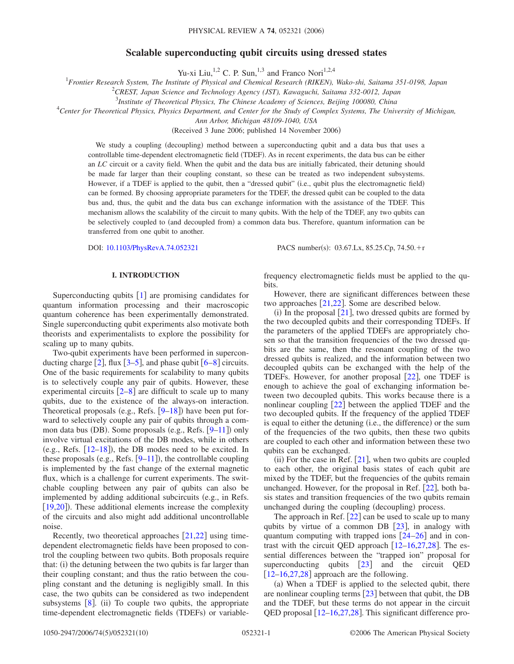# **Scalable superconducting qubit circuits using dressed states**

Yu-xi Liu,<sup>1,2</sup> C. P. Sun,<sup>1,3</sup> and Franco Nori<sup>1,2,4</sup>

1 *Frontier Research System, The Institute of Physical and Chemical Research (RIKEN), Wako-shi, Saitama 351-0198, Japan*

2 *CREST, Japan Science and Technology Agency (JST), Kawaguchi, Saitama 332-0012, Japan*

3 *Institute of Theoretical Physics, The Chinese Academy of Sciences, Beijing 100080, China*

4 *Center for Theoretical Physics, Physics Department, and Center for the Study of Complex Systems, The University of Michigan,*

*Ann Arbor, Michigan 48109-1040, USA*

(Received 3 June 2006; published 14 November 2006)

We study a coupling (decoupling) method between a superconducting qubit and a data bus that uses a controllable time-dependent electromagnetic field (TDEF). As in recent experiments, the data bus can be either an *LC* circuit or a cavity field. When the qubit and the data bus are initially fabricated, their detuning should be made far larger than their coupling constant, so these can be treated as two independent subsystems. However, if a TDEF is applied to the qubit, then a "dressed qubit" (i.e., qubit plus the electromagnetic field) can be formed. By choosing appropriate parameters for the TDEF, the dressed qubit can be coupled to the data bus and, thus, the qubit and the data bus can exchange information with the assistance of the TDEF. This mechanism allows the scalability of the circuit to many qubits. With the help of the TDEF, any two qubits can be selectively coupled to (and decoupled from) a common data bus. Therefore, quantum information can be transferred from one qubit to another.

DOI: [10.1103/PhysRevA.74.052321](http://dx.doi.org/10.1103/PhysRevA.74.052321)

PACS number(s):  $03.67$ .Lx,  $85.25$ .Cp,  $74.50$ .+r

# **I. INTRODUCTION**

Superconducting qubits  $[1]$  $[1]$  $[1]$  are promising candidates for quantum information processing and their macroscopic quantum coherence has been experimentally demonstrated. Single superconducting qubit experiments also motivate both theorists and experimentalists to explore the possibility for scaling up to many qubits.

Two-qubit experiments have been performed in superconducting charge  $[2]$  $[2]$  $[2]$ , flux  $[3-5]$  $[3-5]$  $[3-5]$ , and phase qubit  $[6-8]$  $[6-8]$  $[6-8]$  circuits. One of the basic requirements for scalability to many qubits is to selectively couple any pair of qubits. However, these experimental circuits  $\left[2-8\right]$  $\left[2-8\right]$  $\left[2-8\right]$  are difficult to scale up to many qubits, due to the existence of the always-on interaction. Theoretical proposals (e.g., Refs.  $[9-18]$  $[9-18]$  $[9-18]$ ) have been put forward to selectively couple any pair of qubits through a com-mon data bus (DB). Some proposals (e.g., Refs. [[9–](#page-9-0)[11](#page-9-2)]) only involve virtual excitations of the DB modes, while in others (e.g., Refs.  $[12-18]$  $[12-18]$  $[12-18]$ ), the DB modes need to be excited. In these proposals (e.g., Refs.  $[9-11]$  $[9-11]$  $[9-11]$ ), the controllable coupling is implemented by the fast change of the external magnetic flux, which is a challenge for current experiments. The switchable coupling between any pair of qubits can also be implemented by adding additional subcircuits (e.g., in Refs. [[19](#page-9-4)[,20](#page-9-5)]). These additional elements increase the complexity of the circuits and also might add additional uncontrollable noise.

Recently, two theoretical approaches  $[21,22]$  $[21,22]$  $[21,22]$  $[21,22]$  using timedependent electromagnetic fields have been proposed to control the coupling between two qubits. Both proposals require that: (i) the detuning between the two qubits is far larger than their coupling constant; and thus the ratio between the coupling constant and the detuning is negligibly small. In this case, the two qubits can be considered as two independent subsystems  $[8]$  $[8]$  $[8]$ . (ii) To couple two qubits, the appropriate time-dependent electromagnetic fields (TDEFs) or variablefrequency electromagnetic fields must be applied to the qubits.

However, there are significant differences between these two approaches  $[21,22]$  $[21,22]$  $[21,22]$  $[21,22]$ . Some are described below.

(i) In the proposal  $[21]$  $[21]$  $[21]$ , two dressed qubits are formed by the two decoupled qubits and their corresponding TDEFs. If the parameters of the applied TDEFs are appropriately chosen so that the transition frequencies of the two dressed qubits are the same, then the resonant coupling of the two dressed qubits is realized, and the information between two decoupled qubits can be exchanged with the help of the TDEFs. However, for another proposal [[22](#page-9-7)], one TDEF is enough to achieve the goal of exchanging information between two decoupled qubits. This works because there is a nonlinear coupling  $\lceil 22 \rceil$  $\lceil 22 \rceil$  $\lceil 22 \rceil$  between the applied TDEF and the two decoupled qubits. If the frequency of the applied TDEF is equal to either the detuning (i.e., the difference) or the sum of the frequencies of the two qubits, then these two qubits are coupled to each other and information between these two qubits can be exchanged.

(ii) For the case in Ref.  $[21]$  $[21]$  $[21]$ , when two qubits are coupled to each other, the original basis states of each qubit are mixed by the TDEF, but the frequencies of the qubits remain unchanged. However, for the proposal in Ref.  $[22]$  $[22]$  $[22]$ , both basis states and transition frequencies of the two qubits remain unchanged during the coupling (decoupling) process.

The approach in Ref.  $[22]$  $[22]$  $[22]$  can be used to scale up to many qubits by virtue of a common DB  $[23]$  $[23]$  $[23]$ , in analogy with quantum computing with trapped ions  $\lceil 24-26 \rceil$  $\lceil 24-26 \rceil$  $\lceil 24-26 \rceil$  and in contrast with the circuit QED approach  $[12–16,27,28]$  $[12–16,27,28]$  $[12–16,27,28]$  $[12–16,27,28]$  $[12–16,27,28]$  $[12–16,27,28]$ . The essential differences between the "trapped ion" proposal for superconducting qubits  $[23]$  $[23]$  $[23]$  and the circuit QED  $[12–16,27,28]$  $[12–16,27,28]$  $[12–16,27,28]$  $[12–16,27,28]$  $[12–16,27,28]$  $[12–16,27,28]$  approach are the following.

(a) When a TDEF is applied to the selected qubit, there are nonlinear coupling terms  $[23]$  $[23]$  $[23]$  between that qubit, the DB and the TDEF, but these terms do not appear in the circuit QED proposal  $[12–16,27,28]$  $[12–16,27,28]$  $[12–16,27,28]$  $[12–16,27,28]$  $[12–16,27,28]$  $[12–16,27,28]$ . This significant difference pro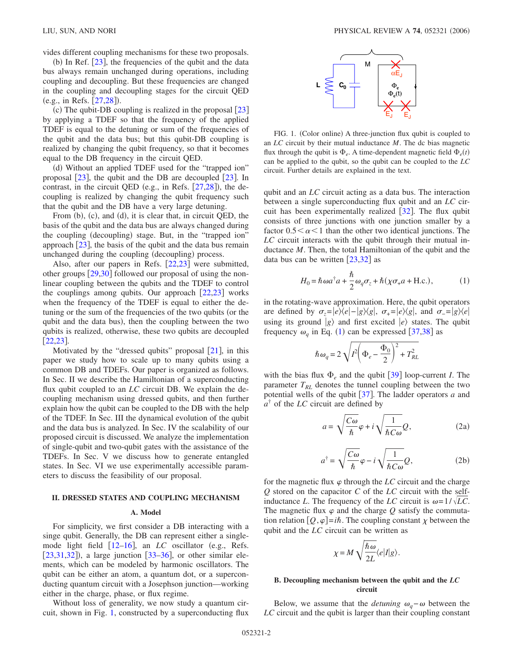vides different coupling mechanisms for these two proposals.

(b) In Ref.  $[23]$  $[23]$  $[23]$ , the frequencies of the qubit and the data bus always remain unchanged during operations, including coupling and decoupling. But these frequencies are changed in the coupling and decoupling stages for the circuit QED (e.g., in Refs. [[27,](#page-9-12)[28](#page-9-13)]).

(c) The qubit-DB coupling is realized in the proposal  $[23]$  $[23]$  $[23]$ by applying a TDEF so that the frequency of the applied TDEF is equal to the detuning or sum of the frequencies of the qubit and the data bus; but this qubit-DB coupling is realized by changing the qubit frequency, so that it becomes equal to the DB frequency in the circuit QED.

(d) Without an applied TDEF used for the "trapped ion" proposal  $\lceil 23 \rceil$  $\lceil 23 \rceil$  $\lceil 23 \rceil$ , the qubit and the DB are decoupled  $\lceil 23 \rceil$ . In contrast, in the circuit QED (e.g., in Refs.  $[27,28]$  $[27,28]$  $[27,28]$  $[27,28]$ ), the decoupling is realized by changing the qubit frequency such that the qubit and the DB have a very large detuning.

From (b), (c), and (d), it is clear that, in circuit QED, the basis of the qubit and the data bus are always changed during the coupling (decoupling) stage. But, in the "trapped ion" approach  $\left[23\right]$  $\left[23\right]$  $\left[23\right]$ , the basis of the qubit and the data bus remain unchanged during the coupling (decoupling) process.

Also, after our papers in Refs.  $[22,23]$  $[22,23]$  $[22,23]$  $[22,23]$  were submitted, other groups  $\left[29,30\right]$  $\left[29,30\right]$  $\left[29,30\right]$  $\left[29,30\right]$  followed our proposal of using the nonlinear coupling between the qubits and the TDEF to control the couplings among qubits. Our approach  $[22,23]$  $[22,23]$  $[22,23]$  $[22,23]$  works when the frequency of the TDEF is equal to either the detuning or the sum of the frequencies of the two qubits (or the qubit and the data bus), then the coupling between the two qubits is realized, otherwise, these two qubits are decoupled  $[22, 23]$  $[22, 23]$  $[22, 23]$ .

Motivated by the "dressed qubits" proposal  $[21]$  $[21]$  $[21]$ , in this paper we study how to scale up to many qubits using a common DB and TDEFs. Our paper is organized as follows. In Sec. II we describe the Hamiltonian of a superconducting flux qubit coupled to an *LC* circuit DB. We explain the decoupling mechanism using dressed qubits, and then further explain how the qubit can be coupled to the DB with the help of the TDEF. In Sec. III the dynamical evolution of the qubit and the data bus is analyzed. In Sec. IV the scalability of our proposed circuit is discussed. We analyze the implementation of single-qubit and two-qubit gates with the assistance of the TDEFs. In Sec. V we discuss how to generate entangled states. In Sec. VI we use experimentally accessible parameters to discuss the feasibility of our proposal.

# **II. DRESSED STATES AND COUPLING MECHANISM**

#### **A. Model**

For simplicity, we first consider a DB interacting with a singe qubit. Generally, the DB can represent either a singlemode light field  $[12–16]$  $[12–16]$  $[12–16]$  $[12–16]$ , an *LC* oscillator (e.g., Refs.  $[23,31,32]$  $[23,31,32]$  $[23,31,32]$  $[23,31,32]$  $[23,31,32]$ ), a large junction  $[33-36]$  $[33-36]$  $[33-36]$ , or other similar elements, which can be modeled by harmonic oscillators. The qubit can be either an atom, a quantum dot, or a superconducting quantum circuit with a Josephson junction—working either in the charge, phase, or flux regime.

Without loss of generality, we now study a quantum circuit, shown in Fig. [1,](#page-1-0) constructed by a superconducting flux

<span id="page-1-0"></span>

FIG. 1. (Color online) A three-junction flux qubit is coupled to an *LC* circuit by their mutual inductance *M*. The dc bias magnetic flux through the qubit is  $\Phi_e$ . A time-dependent magnetic field  $\Phi_e(t)$ can be applied to the qubit, so the qubit can be coupled to the *LC* circuit. Further details are explained in the text.

qubit and an *LC* circuit acting as a data bus. The interaction between a single superconducting flux qubit and an *LC* circuit has been experimentally realized  $\lceil 32 \rceil$  $\lceil 32 \rceil$  $\lceil 32 \rceil$ . The flux qubit consists of three junctions with one junction smaller by a factor  $0.5 < \alpha < 1$  than the other two identical junctions. The *LC* circuit interacts with the qubit through their mutual inductance *M*. Then, the total Hamiltonian of the qubit and the data bus can be written  $[23,32]$  $[23,32]$  $[23,32]$  $[23,32]$  as

$$
H_0 = \hbar \omega a^\dagger a + \frac{\hbar}{2} \omega_q \sigma_z + \hbar (\chi \sigma_+ a + \text{H.c.}),\tag{1}
$$

<span id="page-1-1"></span>in the rotating-wave approximation. Here, the qubit operators are defined by  $\sigma_z = |e\rangle\langle e| - |g\rangle\langle g|$ ,  $\sigma_{\pm} = |e\rangle\langle g|$ , and  $\sigma_{\pm} = |g\rangle\langle e|$ using its ground  $|g\rangle$  and first excited  $|e\rangle$  states. The qubit frequency  $\omega_q$  in Eq. ([1](#page-1-1)) can be expressed [[37](#page-9-20)[,38](#page-9-21)] as

$$
\hbar \omega_q \!=2\sqrt{I^2\!\left(\Phi_e-\frac{\Phi_0}{2}\right)^2+T_{RL}^2}
$$

<span id="page-1-2"></span>with the bias flux  $\Phi_e$  and the qubit  $\left[39\right]$  $\left[39\right]$  $\left[39\right]$  loop-current *I*. The parameter  $T_{RL}$  denotes the tunnel coupling between the two potential wells of the qubit [[37](#page-9-20)]. The ladder operators *a* and *a*† of the *LC* circuit are defined by

$$
a = \sqrt{\frac{C\omega}{\hbar}}\varphi + i\sqrt{\frac{1}{\hbar C\omega}}Q, \qquad (2a)
$$

$$
a^{\dagger} = \sqrt{\frac{C\omega}{\hbar}}\varphi - i\sqrt{\frac{1}{\hbar C\omega}}Q,\tag{2b}
$$

for the magnetic flux  $\varphi$  through the *LC* circuit and the charge *Q* stored on the capacitor *C* of the *LC* circuit with the selfinductance *L*. The frequency of the *LC* circuit is  $\omega = 1/\sqrt{LC}$ . The magnetic flux  $\varphi$  and the charge Q satisfy the commutation relation  $[Q, \varphi] = i\hbar$ . The coupling constant  $\chi$  between the qubit and the *LC* circuit can be written as

$$
\chi = M \sqrt{\frac{\hbar \omega}{2L}} \langle e|I|g \rangle.
$$

# **B. Decoupling mechanism between the qubit and the** *LC* **circuit**

Below, we assume that the *detuning*  $\omega_a - \omega$  between the *LC* circuit and the qubit is larger than their coupling constant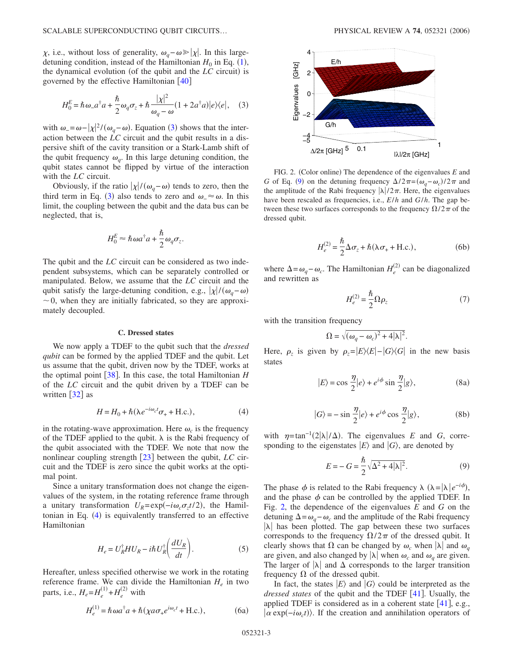$\chi$ , i.e., without loss of generality,  $\omega_q - \omega \ge |\chi|$ . In this largedetuning condition, instead of the Hamiltonian  $H_0$  in Eq.  $(1)$  $(1)$  $(1)$ , the dynamical evolution (of the qubit and the *LC* circuit) is governed by the effective Hamiltonian  $[40]$  $[40]$  $[40]$ 

<span id="page-2-0"></span>
$$
H_0^E = \hbar \omega_a a^\dagger a + \frac{\hbar}{2} \omega_q \sigma_z + \hbar \frac{|\chi|^2}{\omega_q - \omega} (1 + 2a^\dagger a) |e\rangle\langle e|, \quad (3)
$$

with  $\omega = \omega - |\chi|^2 / (\omega_q - \omega)$ . Equation ([3](#page-2-0)) shows that the interaction between the *LC* circuit and the qubit results in a dispersive shift of the cavity transition or a Stark-Lamb shift of the qubit frequency  $\omega_q$ . In this large detuning condition, the qubit states cannot be flipped by virtue of the interaction with the *LC* circuit.

Obviously, if the ratio  $|\chi|/(\omega_q - \omega)$  tends to zero, then the third term in Eq. ([3](#page-2-0)) also tends to zero and  $\omega \approx \omega$ . In this limit, the coupling between the qubit and the data bus can be neglected, that is,

$$
H_0^E \approx \hbar \omega a^\dagger a + \frac{\hbar}{2} \omega_q \sigma_z.
$$

The qubit and the *LC* circuit can be considered as two independent subsystems, which can be separately controlled or manipulated. Below, we assume that the *LC* circuit and the qubit satisfy the large-detuning condition, e.g.,  $|\chi|/(\omega_q-\omega)$  $\sim$ 0, when they are initially fabricated, so they are approximately decoupled.

### **C. Dressed states**

We now apply a TDEF to the qubit such that the *dressed qubit* can be formed by the applied TDEF and the qubit. Let us assume that the qubit, driven now by the TDEF, works at the optimal point  $\left[38\right]$  $\left[38\right]$  $\left[38\right]$ . In this case, the total Hamiltonian *H* of the *LC* circuit and the qubit driven by a TDEF can be written  $\lceil 32 \rceil$  $\lceil 32 \rceil$  $\lceil 32 \rceil$  as

$$
H = H_0 + \hbar(\lambda e^{-i\omega_c t}\sigma_+ + \text{H.c.}),\tag{4}
$$

<span id="page-2-1"></span>in the rotating-wave approximation. Here  $\omega_c$  is the frequency of the TDEF applied to the qubit.  $\lambda$  is the Rabi frequency of the qubit associated with the TDEF. We note that now the nonlinear coupling strength [[23](#page-9-8)] between the qubit, *LC* circuit and the TDEF is zero since the qubit works at the optimal point.

Since a unitary transformation does not change the eigenvalues of the system, in the rotating reference frame through a unitary transformation  $U_R = \exp(-i\omega_c \sigma_z t/2)$ , the Hamil-tonian in Eq. ([4](#page-2-1)) is equivalently transferred to an effective Hamiltonian

$$
H_e = U_R^{\dagger} H U_R - i\hbar U_R^{\dagger} \left( \frac{dU_R}{dt} \right). \tag{5}
$$

Hereafter, unless specified otherwise we work in the rotating reference frame. We can divide the Hamiltonian  $H_e$  in two parts, i.e.,  $H_e = H_e^{(1)} + H_e^{(2)}$  with

$$
H_e^{(1)} = \hbar \omega a^\dagger a + \hbar (\chi a \sigma_+ e^{i\omega_c t} + \text{H.c.}),\tag{6a}
$$

<span id="page-2-2"></span>

FIG. 2. (Color online) The dependence of the eigenvalues *E* and *G* of Eq. ([9](#page-2-3)) on the detuning frequency  $\Delta/2\pi = (\omega_q - \omega_c)/2\pi$  and the amplitude of the Rabi frequency  $|\lambda|/2\pi$ . Here, the eigenvalues have been rescaled as frequencies, i.e., *E*/*h* and *G*/*h*. The gap between these two surfaces corresponds to the frequency  $\Omega/2\pi$  of the dressed qubit.

$$
H_e^{(2)} = \frac{\hbar}{2} \Delta \sigma_z + \hbar (\lambda \sigma_+ + \text{H.c.}),\tag{6b}
$$

where  $\Delta = \omega_q - \omega_c$ . The Hamiltonian  $H_e^{(2)}$  can be diagonalized and rewritten as

$$
H_e^{(2)} = \frac{\hbar}{2} \Omega \rho_z \tag{7}
$$

with the transition frequency

$$
\Omega = \sqrt{(\omega_q - \omega_c)^2 + 4|\lambda|^2}.
$$

<span id="page-2-4"></span>Here,  $\rho_z$  is given by  $\rho_z = |E\rangle\langle E| - |G\rangle\langle G|$  in the new basis states

$$
|E\rangle = \cos\frac{\eta}{2}|e\rangle + e^{i\phi}\sin\frac{\eta}{2}|g\rangle, \tag{8a}
$$

$$
|G\rangle = -\sin\frac{\eta}{2}|e\rangle + e^{i\phi}\cos\frac{\eta}{2}|g\rangle, \tag{8b}
$$

<span id="page-2-3"></span>with  $\eta = \tan^{-1}(2|\lambda|/\Delta)$ . The eigenvalues *E* and *G*, corresponding to the eigenstates  $|E\rangle$  and  $|G\rangle$ , are denoted by

$$
E = -G = \frac{\hbar}{2} \sqrt{\Delta^2 + 4|\lambda|^2}.
$$
 (9)

The phase  $\phi$  is related to the Rabi frequency  $\lambda$  ( $\lambda = |\lambda| e^{-i\phi}$ ), and the phase  $\phi$  can be controlled by the applied TDEF. In Fig. [2,](#page-2-2) the dependence of the eigenvalues *E* and *G* on the detuning  $\Delta = \omega_a - \omega_c$  and the amplitude of the Rabi frequency  $|\lambda|$  has been plotted. The gap between these two surfaces corresponds to the frequency  $\Omega/2\pi$  of the dressed qubit. It clearly shows that  $\Omega$  can be changed by  $\omega_c$  when  $|\lambda|$  and  $\omega_a$ are given, and also changed by  $|\lambda|$  when  $\omega_c$  and  $\omega_q$  are given. The larger of  $|\lambda|$  and  $\Delta$  corresponds to the larger transition frequency  $\Omega$  of the dressed qubit.

In fact, the states  $|E\rangle$  and  $|G\rangle$  could be interpreted as the *dressed states* of the qubit and the TDEF [[41](#page-9-24)]. Usually, the applied TDEF is considered as in a coherent state  $[41]$  $[41]$  $[41]$ , e.g.,  $\alpha \exp(-i\omega_c t)$ . If the creation and annihilation operators of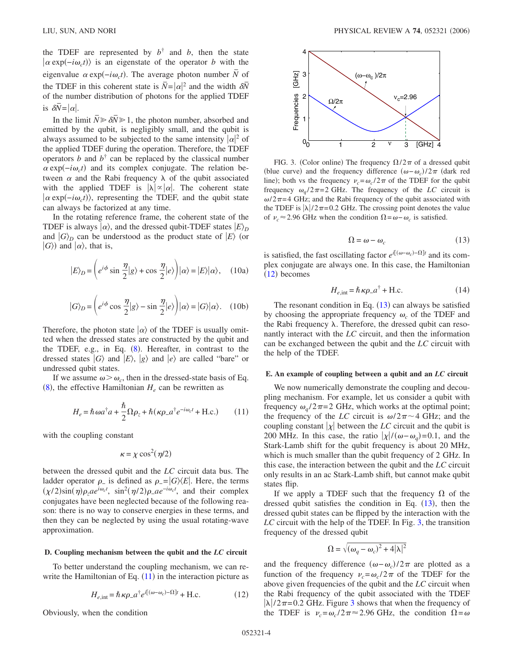the TDEF are represented by  $b^{\dagger}$  and *b*, then the state  $\langle \alpha \exp(-i\omega_c t) \rangle$  is an eigenstate of the operator *b* with the eigenvalue  $\alpha \exp(-i\omega_c t)$ . The average photon number  $\overline{N}$  of the TDEF in this coherent state is  $\overline{N} = |\alpha|^2$  and the width  $\delta \overline{N}$ of the number distribution of photons for the applied TDEF is  $\delta N = |\alpha|$ .

In the limit  $\overline{N} \ge \delta \overline{N} \ge 1$ , the photon number, absorbed and emitted by the qubit, is negligibly small, and the qubit is always assumed to be subjected to the same intensity  $|\alpha|^2$  of the applied TDEF during the operation. Therefore, the TDEF operators *b* and  $b^{\dagger}$  can be replaced by the classical number  $\alpha$  exp( $-i\omega_c t$ ) and its complex conjugate. The relation between  $\alpha$  and the Rabi frequency  $\lambda$  of the qubit associated with the applied TDEF is  $|\lambda| \propto |\alpha|$ . The coherent state  $\ket{\alpha \exp(-i\omega_c t)}$ , representing the TDEF, and the qubit state can always be factorized at any time.

In the rotating reference frame, the coherent state of the TDEF is always  $|\alpha\rangle$ , and the dressed qubit-TDEF states  $|E\rangle_D$ and  $|G\rangle_D$  can be understood as the product state of  $|E\rangle$  (or  $|G\rangle$  and  $|\alpha\rangle$ , that is,

$$
|E\rangle_D = \left(e^{i\phi}\sin\frac{\eta}{2}|g\rangle + \cos\frac{\eta}{2}|e\rangle\right)|\alpha\rangle = |E\rangle|\alpha\rangle, \quad (10a)
$$

$$
|G\rangle_D = \left(e^{i\phi}\cos\frac{\eta}{2}|g\rangle - \sin\frac{\eta}{2}|e\rangle\right)|\alpha\rangle = |G\rangle|\alpha\rangle. \quad (10b)
$$

Therefore, the photon state  $\ket{\alpha}$  of the TDEF is usually omitted when the dressed states are constructed by the qubit and the TDEF, e.g., in Eq. ([8](#page-2-4)). Hereafter, in contrast to the dressed states  $|G\rangle$  and  $|E\rangle$ ,  $|g\rangle$  and  $|e\rangle$  are called "bare" or undressed qubit states.

<span id="page-3-0"></span>If we assume  $\omega > \omega_c$ , then in the dressed-state basis of Eq.  $(8)$  $(8)$  $(8)$ , the effective Hamiltonian  $H_e$  can be rewritten as

$$
H_e = \hbar \omega a^{\dagger} a + \frac{\hbar}{2} \Omega \rho_z + \hbar (\kappa \rho_- a^{\dagger} e^{-i\omega_c t} + \text{H.c.}) \tag{11}
$$

with the coupling constant

$$
\kappa = \chi \cos^2(\eta/2)
$$

between the dressed qubit and the *LC* circuit data bus. The ladder operator  $\rho$ <sub>-</sub> is defined as  $\rho$ <sub>-</sub> =  $|G\rangle\langle E|$ . Here, the terms  $(\chi/2)\sin(\eta)\rho_z a e^{i\omega_c t}$ ,  $\sin^2(\eta/2)\rho_- a e^{-i\omega_c t}$ , and their complex conjugates have been neglected because of the following reason: there is no way to conserve energies in these terms, and then they can be neglected by using the usual rotating-wave approximation.

### **D. Coupling mechanism between the qubit and the** *LC* **circuit**

To better understand the coupling mechanism, we can rewrite the Hamiltonian of Eq.  $(11)$  $(11)$  $(11)$  in the interaction picture as

$$
H_{e,\text{int}} = \hbar \kappa \rho_- a^{\dagger} e^{i[(\omega - \omega_c) - \Omega]t} + \text{H.c.}
$$
 (12)

<span id="page-3-1"></span>Obviously, when the condition

<span id="page-3-3"></span>

FIG. 3. (Color online) The frequency  $\Omega/2\pi$  of a dressed qubit (blue curve) and the frequency difference  $(\omega - \omega_c)/2\pi$  (dark red line); both vs the frequency  $v_c = \omega_c / 2\pi$  of the TDEF for the qubit frequency  $\omega_a/2\pi=2$  GHz. The frequency of the *LC* circuit is  $\omega/2\pi$ =4 GHz; and the Rabi frequency of the qubit associated with the TDEF is  $|\lambda|/2\pi$ =0.2 GHz. The crossing point denotes the value of  $\nu_c$  ≈ 2.96 GHz when the condition  $\Omega = \omega - \omega_c$  is satisfied.

$$
\Omega = \omega - \omega_c \tag{13}
$$

<span id="page-3-2"></span>is satisfied, the fast oscillating factor  $e^{i[(\omega - \omega_c) - \Omega]t}$  and its complex conjugate are always one. In this case, the Hamiltonian  $(12)$  $(12)$  $(12)$  becomes

$$
H_{e,\text{int}} = \hbar \kappa \rho_- a^{\dagger} + \text{H.c.}
$$
 (14)

The resonant condition in Eq.  $(13)$  $(13)$  $(13)$  can always be satisfied by choosing the appropriate frequency  $\omega_c$  of the TDEF and the Rabi frequency  $\lambda$ . Therefore, the dressed qubit can resonantly interact with the *LC* circuit, and then the information can be exchanged between the qubit and the *LC* circuit with the help of the TDEF.

# **E. An example of coupling between a qubit and an** *LC* **circuit**

We now numerically demonstrate the coupling and decoupling mechanism. For example, let us consider a qubit with frequency  $\omega_a/2\pi=2$  GHz, which works at the optimal point; the frequency of the *LC* circuit is  $\omega/2\pi \sim 4$  GHz; and the coupling constant  $|x|$  between the *LC* circuit and the qubit is 200 MHz. In this case, the ratio  $|\chi|/(\omega - \omega_q) = 0.1$ , and the Stark-Lamb shift for the qubit frequency is about 20 MHz, which is much smaller than the qubit frequency of 2 GHz. In this case, the interaction between the qubit and the *LC* circuit only results in an ac Stark-Lamb shift, but cannot make qubit states flip.

If we apply a TDEF such that the frequency  $\Omega$  of the dressed qubit satisfies the condition in Eq.  $(13)$  $(13)$  $(13)$ , then the dressed qubit states can be flipped by the interaction with the *LC* circuit with the help of the TDEF. In Fig. [3,](#page-3-3) the transition frequency of the dressed qubit

$$
\Omega=\sqrt{(\omega_q-\omega_c)^2+4|\lambda|^2}
$$

and the frequency difference  $(\omega - \omega_c)/2\pi$  are plotted as a function of the frequency  $v_c = \omega_c / 2\pi$  of the TDEF for the above given frequencies of the qubit and the *LC* circuit when the Rabi frequency of the qubit associated with the TDEF  $|\lambda|/2\pi$ =0.2 GHz. Figure [3](#page-3-3) shows that when the frequency of the TDEF is  $v_c = \omega_c / 2\pi \approx 2.96$  GHz, the condition  $\Omega = \omega$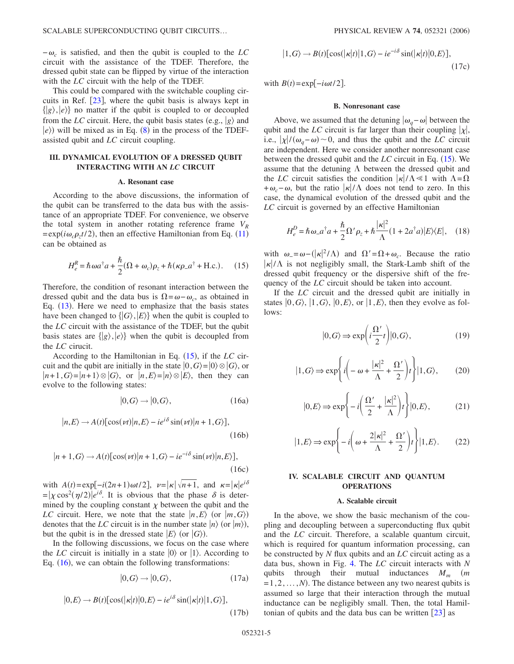$-\omega_c$  is satisfied, and then the qubit is coupled to the *LC* circuit with the assistance of the TDEF. Therefore, the dressed qubit state can be flipped by virtue of the interaction with the *LC* circuit with the help of the TDEF.

This could be compared with the switchable coupling circuits in Ref.  $[23]$  $[23]$  $[23]$ , where the qubit basis is always kept in  $\{|g\rangle, |e\rangle\}$  no matter if the qubit is coupled to or decoupled from the *LC* circuit. Here, the qubit basis states (e.g.,  $|g\rangle$  and  $|e\rangle$ ) will be mixed as in Eq. ([8](#page-2-4)) in the process of the TDEFassisted qubit and *LC* circuit coupling.

# **III. DYNAMICAL EVOLUTION OF A DRESSED QUBIT INTERACTING WITH AN** *LC* **CIRCUIT**

## **A. Resonant case**

According to the above discussions, the information of the qubit can be transferred to the data bus with the assistance of an appropriate TDEF. For convenience, we observe the total system in another rotating reference frame  $V_R$  $=\exp(i\omega_c \rho_z t/2)$ , then an effective Hamiltonian from Eq. ([11](#page-3-0)) can be obtained as

$$
H_e^R = \hbar \omega a^\dagger a + \frac{\hbar}{2} (\Omega + \omega_c) \rho_z + \hbar (\kappa \rho_- a^\dagger + \text{H.c.}). \tag{15}
$$

<span id="page-4-0"></span>Therefore, the condition of resonant interaction between the dressed qubit and the data bus is  $\Omega = \omega - \omega_c$ , as obtained in Eq. ([13](#page-3-2)). Here we need to emphasize that the basis states have been changed to  $\{ |G\rangle, |E\rangle \}$  when the qubit is coupled to the *LC* circuit with the assistance of the TDEF, but the qubit basis states are  $\{ |g\rangle, |e\rangle \}$  when the qubit is decoupled from the *LC* cirucit.

According to the Hamiltonian in Eq. ([15](#page-4-0)), if the *LC* circuit and the qubit are initially in the state  $|0, G\rangle = |0\rangle \otimes |G\rangle$ , or  $|n+1, G\rangle = |n+1\rangle \otimes |G\rangle$ , or  $|n, E\rangle = |n\rangle \otimes |E\rangle$ , then they can evolve to the following states:

$$
|0, G\rangle \to |0, G\rangle, \tag{16a}
$$

<span id="page-4-1"></span>
$$
|n,E\rangle \to A(t)[\cos(\nu t)|n,E\rangle - ie^{i\delta}\sin(\nu t)|n+1,G\rangle],\tag{16b}
$$

$$
|n+1, G\rangle \to A(t)[\cos(\nu t)|n+1, G\rangle - ie^{-i\delta}\sin(\nu t)|n, E\rangle],
$$
\n(16c)

with  $A(t) = \exp[-i(2n+1)\omega t/2], \quad v = |\kappa| \sqrt{n+1}, \text{ and } \kappa = |\kappa|e^{i\delta}$  $= |\chi \cos^2(\eta/2)|e^{i\delta}$ . It is obvious that the phase  $\delta$  is determined by the coupling constant  $\chi$  between the qubit and the *LC* circuit. Here, we note that the state  $|n, E\rangle$  (or  $|m, G\rangle$ ) denotes that the *LC* circuit is in the number state  $|n\rangle$  (or  $|m\rangle$ ), but the qubit is in the dressed state  $|E\rangle$  (or  $|G\rangle$ ).

<span id="page-4-2"></span>In the following discussions, we focus on the case where the *LC* circuit is initially in a state  $|0\rangle$  or  $|1\rangle$ . According to Eq.  $(16)$  $(16)$  $(16)$ , we can obtain the following transformations:

$$
|0, G\rangle \to |0, G\rangle, \tag{17a}
$$

$$
|0,E\rangle \to B(t)[\cos(|\kappa|t)|0,E\rangle - ie^{i\delta}\sin(|\kappa|t)|1,G\rangle],
$$
\n(17b)

$$
|1, G\rangle \to B(t)[\cos(|\kappa|t)|1, G\rangle - ie^{-i\delta}\sin(|\kappa|t)|0, E\rangle],
$$
\n(17c)

with  $B(t) = \exp[-i\omega t/2]$ .

## **B. Nonresonant case**

Above, we assumed that the detuning  $|\omega_a - \omega|$  between the qubit and the *LC* circuit is far larger than their coupling  $|\chi|$ , i.e.,  $|\chi|/(\omega_q - \omega) \sim 0$ , and thus the qubit and the *LC* circuit are independent. Here we consider another nonresonant case between the dressed qubit and the *LC* circuit in Eq. ([15](#page-4-0)). We assume that the detuning  $\Lambda$  between the dressed qubit and the *LC* circuit satisfies the condition  $|\kappa|/\Lambda \ll 1$  with  $\Lambda = \Omega$ + $\omega_c$ - $\omega$ , but the ratio  $|\kappa|/\Lambda$  does not tend to zero. In this case, the dynamical evolution of the dressed qubit and the *LC* circuit is governed by an effective Hamiltonian

<span id="page-4-3"></span>
$$
H_e^D = \hbar \omega_a a^\dagger a + \frac{\hbar}{2} \Omega' \rho_z + \hbar \frac{|\kappa|^2}{\Lambda} (1 + 2a^\dagger a) |E\rangle \langle E|, \quad (18)
$$

with  $\omega_{-} = \omega - (|\kappa|^2 / \Lambda)$  and  $\Omega' = \Omega + \omega_c$ . Because the ratio  $|\kappa|/\Lambda$  is not negligibly small, the Stark-Lamb shift of the dressed qubit frequency or the dispersive shift of the frequency of the *LC* circuit should be taken into account.

<span id="page-4-4"></span>If the *LC* circuit and the dressed qubit are initially in states  $|0, G \rangle$ ,  $|1, G \rangle$ ,  $|0, E \rangle$ , or  $|1, E \rangle$ , then they evolve as follows:

$$
|0, G\rangle \Rightarrow \exp\left(i\frac{\Omega'}{2}t\right)|0, G\rangle, \tag{19}
$$

$$
|1, G\rangle \Rightarrow \exp\left\{i\left(-\omega + \frac{|\kappa|^2}{\Lambda} + \frac{\Omega'}{2}\right)t\right\}|1, G\rangle, \tag{20}
$$

$$
|0,E\rangle \Rightarrow \exp\left\{-i\left(\frac{\Omega'}{2} + \frac{|\kappa|^2}{\Lambda}\right)t\right\}|0,E\rangle, \tag{21}
$$

<span id="page-4-5"></span>
$$
|1,E\rangle \Rightarrow \exp\left\{-i\left(\omega + \frac{2|\kappa|^2}{\Lambda} + \frac{\Omega'}{2}\right)t\right\}|1,E\rangle. \tag{22}
$$

## **IV. SCALABLE CIRCUIT AND QUANTUM OPERATIONS**

#### **A. Scalable circuit**

In the above, we show the basic mechanism of the coupling and decoupling between a superconducting flux qubit and the *LC* circuit. Therefore, a scalable quantum circuit, which is required for quantum information processing, can be constructed by *N* flux qubits and an *LC* circuit acting as a data bus, shown in Fig. [4.](#page-5-0) The *LC* circuit interacts with *N* qubits through their mutual inductances  $M_m$  (*m*  $=1,2,...,N$ ). The distance between any two nearest qubits is assumed so large that their interaction through the mutual inductance can be negligibly small. Then, the total Hamiltonian of qubits and the data bus can be written  $\lceil 23 \rceil$  $\lceil 23 \rceil$  $\lceil 23 \rceil$  as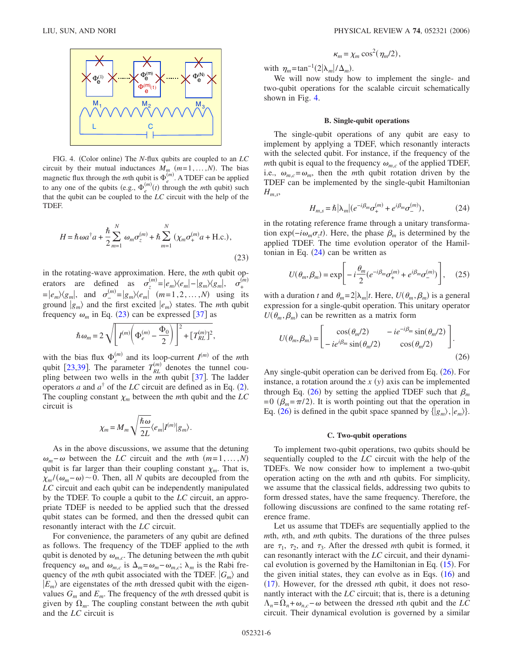<span id="page-5-0"></span>

FIG. 4. (Color online) The *N*-flux qubits are coupled to an *LC* circuit by their mutual inductances  $M_m$   $(m=1,\ldots,N)$ . The bias magnetic flux through the *m*th qubit is  $\Phi_e^{(m)}$ . A TDEF can be applied to any one of the qubits (e.g.,  $\Phi_e^{(m)}(t)$  through the *m*th qubit) such that the qubit can be coupled to the *LC* circuit with the help of the TDEF.

<span id="page-5-1"></span>
$$
H = \hbar \omega a^{\dagger} a + \frac{\hbar}{2} \sum_{m=1}^{N} \omega_m \sigma_z^{(m)} + \hbar \sum_{m=1}^{N} (\chi_m \sigma_+^{(m)} a + \text{H.c.}),
$$
\n(23)

in the rotating-wave approximation. Here, the *m*th qubit operators are defined as  $\sigma_z^{(m)} = |e_m\rangle\langle e_m| - |g_m\rangle\langle g_m|, \sigma_+^{\hat{G}}$ *m*-  $= |e_m\rangle\langle g_m|$ , and  $\sigma_-^{(m)}=|g_m\rangle\langle e_m|$   $(m=1,2,\ldots,N)$  using its ground  $|g_m\rangle$  and the first excited  $|e_m\rangle$  states. The *mth* qubit frequency  $\omega_m$  in Eq. ([23](#page-5-1)) can be expressed [[37](#page-9-20)] as

$$
\hbar \omega_m = 2 \sqrt{\left[ I^{(m)} \left( \Phi_e^{(m)} - \frac{\Phi_0}{2} \right) \right]^2 + \left[ T_{RL}^{(m)} \right]^2},
$$

with the bias flux  $\Phi_e^{(m)}$  and its loop-current  $I^{(m)}$  of the *mth* qubit [[23](#page-9-8)[,39](#page-9-22)]. The parameter  $T_{RL}^{(m)}$  denotes the tunnel coupling between two wells in the *mth* qubit [[37](#page-9-20)]. The ladder operators *a* and  $a^{\dagger}$  of the *LC* circuit are defined as in Eq. ([2](#page-1-2)). The coupling constant  $\chi_m$  between the *m*th qubit and the *LC* circuit is

$$
\chi_m = M_m \sqrt{\frac{\hbar \omega}{2L}} \langle e_m | I^{(m)} | g_m \rangle.
$$

As in the above discussions, we assume that the detuning  $\omega_m - \omega$  between the *LC* circuit and the *m*th  $(m=1,\ldots,N)$ qubit is far larger than their coupling constant  $\chi_m$ . That is,  $\chi_m/(\omega_m-\omega) \sim 0$ . Then, all *N* qubits are decoupled from the *LC* circuit and each qubit can be independently manipulated by the TDEF. To couple a qubit to the *LC* circuit, an appropriate TDEF is needed to be applied such that the dressed qubit states can be formed, and then the dressed qubit can resonantly interact with the *LC* circuit.

For convenience, the parameters of any qubit are defined as follows. The frequency of the TDEF applied to the *m*th qubit is denoted by  $\omega_{m,c}$ . The detuning between the *m*th qubit frequency  $\omega_m$  and  $\omega_{m,c}$  is  $\Delta_m = \omega_m - \omega_{m,c}$ ;  $\lambda_m$  is the Rabi frequency of the *m*th qubit associated with the TDEF.  $|G_m\rangle$  and  $|E_m\rangle$  are eigenstates of the *m*th dressed qubit with the eigenvalues  $G_m$  and  $E_m$ . The frequency of the *mth* dressed qubit is given by  $\Omega_m$ . The coupling constant between the *mth* qubit and the *LC* circuit is

$$
\kappa_m = \chi_m \cos^2(\eta_m/2),
$$

with  $\eta_m = \tan^{-1}(2|\lambda_m|/\Delta_m)$ .

We will now study how to implement the single- and two-qubit operations for the scalable circuit schematically shown in Fig. [4.](#page-5-0)

## **B. Single-qubit operations**

The single-qubit operations of any qubit are easy to implement by applying a TDEF, which resonantly interacts with the selected qubit. For instance, if the frequency of the *m*th qubit is equal to the frequency  $\omega_{mc}$  of the applied TDEF, i.e.,  $\omega_{m,c} = \omega_m$ , then the *m*th qubit rotation driven by the TDEF can be implemented by the single-qubit Hamiltonian *Hm*,*s*,

$$
H_{m,s} = \hbar |\lambda_m| (e^{-i\beta_m} \sigma_+^{(m)} + e^{i\beta_m} \sigma_-^{(m)}), \tag{24}
$$

<span id="page-5-2"></span>in the rotating reference frame through a unitary transformation exp( $-i\omega_m \sigma_z t$ ). Here, the phase  $\beta_m$  is determined by the applied TDEF. The time evolution operator of the Hamiltonian in Eq.  $(24)$  $(24)$  $(24)$  can be written as

$$
U(\theta_m, \beta_m) = \exp\left[-i\frac{\theta_m}{2}(e^{-i\beta_m}\sigma_+^{(m)} + e^{i\beta_m}\sigma_-^{(m)})\right], \quad (25)
$$

with a duration *t* and  $\theta_m = 2|\lambda_m|$ *t*. Here,  $U(\theta_m, \beta_m)$  is a general expression for a single-qubit operation. This unitary operator  $U(\theta_m, \beta_m)$  can be rewritten as a matrix form

<span id="page-5-3"></span>
$$
U(\theta_m, \beta_m) = \begin{bmatrix} \cos(\theta_m/2) & -ie^{-i\beta_m} \sin(\theta_m/2) \\ -ie^{i\beta_m} \sin(\theta_m/2) & \cos(\theta_m/2) \end{bmatrix}.
$$
\n(26)

Any single-qubit operation can be derived from Eq. ([26](#page-5-3)). For instance, a rotation around the  $x(y)$  axis can be implemented through Eq. ([26](#page-5-3)) by setting the applied TDEF such that  $\beta_m$  $= 0$  ( $\beta_m = \pi/2$ ). It is worth pointing out that the operation in Eq. ([26](#page-5-3)) is defined in the qubit space spanned by  $\{|g_m\rangle, |e_m\rangle\}$ .

#### **C. Two-qubit operations**

To implement two-qubit operations, two qubits should be sequentially coupled to the *LC* circuit with the help of the TDEFs. We now consider how to implement a two-qubit operation acting on the *m*th and *n*th qubits. For simplicity, we assume that the classical fields, addressing two qubits to form dressed states, have the same frequency. Therefore, the following discussions are confined to the same rotating reference frame.

Let us assume that TDEFs are sequentially applied to the *m*th, *n*th, and *m*th qubits. The durations of the three pulses are  $\tau_1$ ,  $\tau_2$ , and  $\tau_3$ . After the dressed *m*th qubit is formed, it can resonantly interact with the *LC* circuit, and their dynami-cal evolution is governed by the Hamiltonian in Eq. ([15](#page-4-0)). For the given initial states, they can evolve as in Eqs.  $(16)$  $(16)$  $(16)$  and ([17](#page-4-2)). However, for the dressed *n*th qubit, it does not resonantly interact with the *LC* circuit; that is, there is a detuning  $\Lambda_n = \Omega_n + \omega_{n,c} - \omega$  between the dressed *n*th qubit and the *LC* circuit. Their dynamical evolution is governed by a similar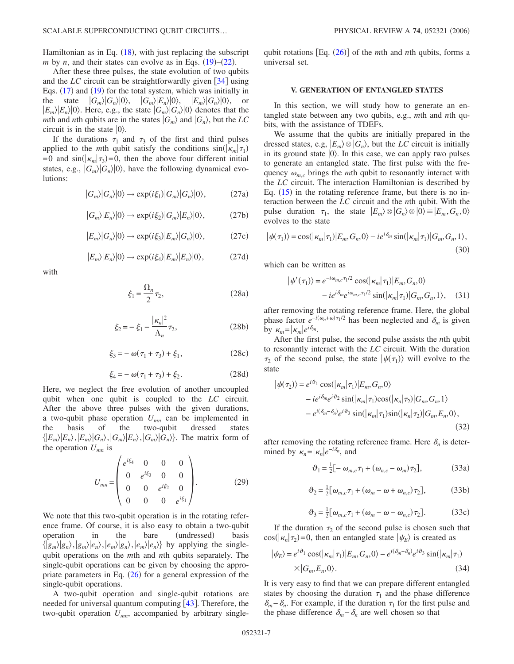Hamiltonian as in Eq.  $(18)$  $(18)$  $(18)$ , with just replacing the subscript *m* by *n*, and their states can evolve as in Eqs.  $(19)$  $(19)$  $(19)$ – $(22)$  $(22)$  $(22)$ .

After these three pulses, the state evolution of two qubits and the *LC* circuit can be straightforwardly given  $\lceil 34 \rceil$  $\lceil 34 \rceil$  $\lceil 34 \rceil$  using Eqs.  $(17)$  $(17)$  $(17)$  and  $(19)$  $(19)$  $(19)$  for the total system, which was initially in the state  $|G_m\rangle|G_n\rangle|0\rangle$ ,  $|G_m\rangle|E_n\rangle|0\rangle$ ,  $|E_m\rangle|G_n\rangle|0\rangle$ , or  $|E_m\rangle|E_n\rangle|0\rangle$ . Here, e.g., the state  $|G_m\rangle|G_n\rangle|0\rangle$  denotes that the *m*th and *n*th qubits are in the states  $|G_m\rangle$  and  $|G_n\rangle$ , but the *LC* circuit is in the state  $|0\rangle$ .

If the durations  $\tau_1$  and  $\tau_3$  of the first and third pulses applied to the *m*th qubit satisfy the conditions  $sin(|\kappa_m|\tau_1)$  $= 0$  and  $\sin(|\kappa_m|\tau_3) = 0$ , then the above four different initial states, e.g.,  $|G_m\rangle|G_n\rangle|0\rangle$ , have the following dynamical evolutions:

$$
|G_m\rangle|G_n\rangle|0\rangle \to \exp(i\xi_1)|G_m\rangle|G_n\rangle|0\rangle, \qquad (27a)
$$

$$
|G_m\rangle|E_n\rangle|0\rangle \to \exp(i\xi_2)|G_m\rangle|E_n\rangle|0\rangle, \qquad (27b)
$$

$$
|E_m\rangle|G_n\rangle|0\rangle \to \exp(i\xi_3)|E_m\rangle|G_n\rangle|0\rangle, \qquad (27c)
$$

$$
|E_m\rangle|E_n\rangle|0\rangle \to \exp(i\xi_4)|E_m\rangle|E_n\rangle|0\rangle, \qquad (27d)
$$

with

$$
\xi_1 = \frac{\Omega_n}{2} \tau_2,\tag{28a}
$$

$$
\xi_2 = -\xi_1 - \frac{|\kappa_n|^2}{\Lambda_n} \tau_2,\tag{28b}
$$

$$
\xi_3 = -\omega(\tau_1 + \tau_3) + \xi_1,\tag{28c}
$$

$$
\xi_4 = -\omega(\tau_1 + \tau_3) + \xi_2. \tag{28d}
$$

Here, we neglect the free evolution of another uncoupled qubit when one qubit is coupled to the *LC* circuit. After the above three pulses with the given durations, a two-qubit phase operation  $U_{mn}$  can be implemented in the basis of the two-qubit dressed states two-qubit  ${E_m|E_n\rangle, |E_m\rangle|G_n\rangle, |G_m\rangle|E_n\rangle, |G_m\rangle|G_n\rangle}.$  The matrix form of the operation  $U_{mn}$  is

$$
U_{mn} = \begin{pmatrix} e^{i\xi_4} & 0 & 0 & 0 \ 0 & e^{i\xi_3} & 0 & 0 \ 0 & 0 & e^{i\xi_2} & 0 \ 0 & 0 & 0 & e^{i\xi_1} \end{pmatrix} .
$$
 (29)

We note that this two-qubit operation is in the rotating reference frame. Of course, it is also easy to obtain a two-qubit operation in the bare (undressed) basis  $\{ |g_m\rangle|g_n\rangle, |g_m\rangle|e_n\rangle, |e_m\rangle|g_n\rangle, |e_m\rangle|e_n\rangle\}$  by applying the singlequbit operations on the *m*th and *n*th qubits separately. The single-qubit operations can be given by choosing the appropriate parameters in Eq.  $(26)$  $(26)$  $(26)$  for a general expression of the single-qubit operations.

A two-qubit operation and single-qubit rotations are needed for universal quantum computing  $[43]$  $[43]$  $[43]$ . Therefore, the two-qubit operation  $U_{mn}$ , accompanied by arbitrary single-

qubit rotations [Eq. ([26](#page-5-3))] of the *m*th and *n*th qubits, forms a universal set.

## **V. GENERATION OF ENTANGLED STATES**

In this section, we will study how to generate an entangled state between any two qubits, e.g., *m*th and *n*th qubits, with the assistance of TDEFs.

We assume that the qubits are initially prepared in the dressed states, e.g,  $|E_m\rangle \otimes |G_n\rangle$ , but the *LC* circuit is initially in its ground state  $|0\rangle$ . In this case, we can apply two pulses to generate an entangled state. The first pulse with the frequency  $\omega_{m,c}$  brings the *m*th qubit to resonantly interact with the *LC* circuit. The interaction Hamiltonian is described by Eq.  $(15)$  $(15)$  $(15)$  in the rotating reference frame, but there is no interaction between the *LC* circuit and the *n*th qubit. With the pulse duration  $\tau_1$ , the state  $|E_m\rangle \otimes |G_n\rangle \otimes |0\rangle = |E_m, G_n, 0\rangle$ evolves to the state

<span id="page-6-0"></span>
$$
|\psi(\tau_1)\rangle = \cos(|\kappa_m|\tau_1)|E_m, G_n, 0\rangle - ie^{i\delta_m}\sin(|\kappa_m|\tau_1)|G_m, G_n, 1\rangle,
$$
\n(30)

which can be written as

$$
\begin{aligned} \left| \psi'(\tau_1) \right\rangle &= e^{-i\omega_{m,c}\tau_1/2} \cos(|\kappa_m|\tau_1)|E_m, G_n, 0\rangle \\ &- i e^{i\delta_m} e^{i\omega_{m,c}\tau_1/2} \sin(|\kappa_m|\tau_1)|G_m, G_n, 1\rangle, \end{aligned} \tag{31}
$$

after removing the rotating reference frame. Here, the global phase factor  $e^{-i(\omega_n + \omega)\tau_1/2}$  has been neglected and  $\delta_m$  is given by  $\kappa_m = |\kappa_m|e^{i\delta_m}$ .

After the first pulse, the second pulse assists the *n*th qubit to resonantly interact with the *LC* circuit. With the duration  $\tau_2$  of the second pulse, the state  $|\psi(\tau_1)\rangle$  will evolve to the state

<span id="page-6-1"></span>
$$
|\psi(\tau_2)\rangle = e^{i\vartheta_1} \cos(|\kappa_m|\tau_1)|E_m, G_n, 0\rangle
$$
  
\n
$$
-ie^{i\delta_m}e^{i\vartheta_2} \sin(|\kappa_m|\tau_1)\cos(|\kappa_n|\tau_2)|G_m, G_n, 1\rangle
$$
  
\n
$$
-e^{i(\delta_m-\delta_n)}e^{i\vartheta_3} \sin(|\kappa_m|\tau_1)\sin(|\kappa_n|\tau_2)|G_m, E_n, 0\rangle,
$$
\n(32)

after removing the rotating reference frame. Here  $\delta_n$  is determined by  $\kappa_n = |\kappa_n|e^{-i\delta_n}$ , and

$$
\vartheta_1 = \frac{1}{2} \left[ -\omega_{m,c} \tau_1 + (\omega_{n,c} - \omega_m) \tau_2 \right],\tag{33a}
$$

$$
\vartheta_2 = \frac{1}{2} [\omega_{m,c} \tau_1 + (\omega_m - \omega + \omega_{n,c}) \tau_2], \tag{33b}
$$

$$
\vartheta_3 = \frac{1}{2} [\omega_{m,c} \tau_1 + (\omega_m - \omega - \omega_{n,c}) \tau_2]. \tag{33c}
$$

If the duration  $\tau_2$  of the second pulse is chosen such that  $cos(|\kappa_n|\tau_2)$ =0, then an entangled state  $|\psi_E\rangle$  is created as

<span id="page-6-2"></span>
$$
|\psi_E\rangle = e^{i\vartheta_1} \cos(|\kappa_m|\tau_1)|E_m, G_n, 0\rangle - e^{i(\delta_m - \delta_n)} e^{i\vartheta_3} \sin(|\kappa_m|\tau_1)
$$
  
 
$$
\times |G_m, E_n, 0\rangle.
$$
 (34)

It is very easy to find that we can prepare different entangled states by choosing the duration  $\tau_1$  and the phase difference  $\delta_m - \delta_n$ . For example, if the duration  $\tau_1$  for the first pulse and the phase difference  $\delta_m - \delta_n$  are well chosen so that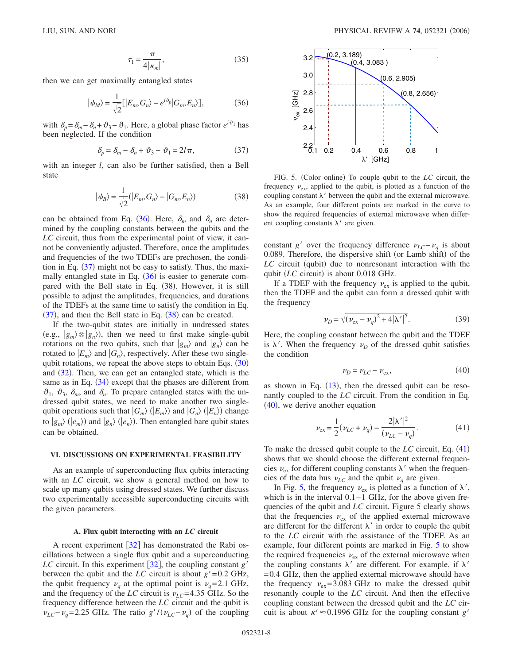$$
\tau_1 = \frac{\pi}{4|\kappa_m|},\tag{35}
$$

<span id="page-7-0"></span>then we can get maximally entangled states

$$
|\psi_M\rangle = \frac{1}{\sqrt{2}} [|E_m, G_n\rangle - e^{i\delta_p} |G_m, E_n\rangle],
$$
 (36)

with  $\delta_p = \delta_m - \delta_n + \vartheta_3 - \vartheta_1$ . Here, a global phase factor  $e^{i\vartheta_1}$  has been neglected. If the condition

$$
\delta_p = \delta_m - \delta_n + \vartheta_3 - \vartheta_1 = 2l\pi,\tag{37}
$$

<span id="page-7-2"></span><span id="page-7-1"></span>with an integer *l*, can also be further satisfied, then a Bell state

$$
|\psi_B\rangle = \frac{1}{\sqrt{2}}(|E_m, G_n\rangle - |G_m, E_n\rangle)
$$
 (38)

can be obtained from Eq. ([36](#page-7-0)). Here,  $\delta_m$  and  $\delta_n$  are determined by the coupling constants between the qubits and the *LC* circuit, thus from the experimental point of view, it cannot be conveniently adjusted. Therefore, once the amplitudes and frequencies of the two TDEFs are prechosen, the condition in Eq.  $(37)$  $(37)$  $(37)$  might not be easy to satisfy. Thus, the maxi-mally entangled state in Eq. ([36](#page-7-0)) is easier to generate com-pared with the Bell state in Eq. ([38](#page-7-2)). However, it is still possible to adjust the amplitudes, frequencies, and durations of the TDEFs at the same time to satisfy the condition in Eq.  $(37)$  $(37)$  $(37)$ , and then the Bell state in Eq.  $(38)$  $(38)$  $(38)$  can be created.

If the two-qubit states are initially in undressed states (e.g.,  $|g_m\rangle \otimes |g_n\rangle$ ), then we need to first make single-qubit rotations on the two qubits, such that  $|g_m\rangle$  and  $|g_n\rangle$  can be rotated to  $|E_m\rangle$  and  $|G_n\rangle$ , respectively. After these two singlequbit rotations, we repeat the above steps to obtain Eqs.  $(30)$  $(30)$  $(30)$ and ([32](#page-6-1)). Then, we can get an entangled state, which is the same as in Eq.  $(34)$  $(34)$  $(34)$  except that the phases are different from  $\vartheta_1$ ,  $\vartheta_3$ ,  $\delta_m$ , and  $\delta_n$ . To prepare entangled states with the undressed qubit states, we need to make another two singlequbit operations such that  $|G_m\rangle$  ( $|E_m\rangle$ ) and  $|G_n\rangle$  ( $|E_n\rangle$ ) change to  $|g_m\rangle$  ( $|e_m\rangle$ ) and  $|g_n\rangle$  ( $|e_n\rangle$ ). Then entangled bare qubit states can be obtained.

## **VI. DISCUSSIONS ON EXPERIMENTAL FEASIBILITY**

As an example of superconducting flux qubits interacting with an *LC* circuit, we show a general method on how to scale up many qubits using dressed states. We further discuss two experimentally accessible superconducting circuits with the given parameters.

#### **A. Flux qubit interacting with an** *LC* **circuit**

A recent experiment  $\lceil 32 \rceil$  $\lceil 32 \rceil$  $\lceil 32 \rceil$  has demonstrated the Rabi oscillations between a single flux qubit and a superconducting *LC* circuit. In this experiment  $\left[32\right]$  $\left[32\right]$  $\left[32\right]$ , the coupling constant *g'* between the qubit and the *LC* circuit is about  $g' = 0.2$  GHz, the qubit frequency  $v_q$  at the optimal point is  $v_q = 2.1 \text{ GHz}$ , and the frequency of the *LC* circuit is  $\nu_{LC}$ =4.35 GHz. So the frequency difference between the *LC* circuit and the qubit is  $\nu_{LC} - \nu_q = 2.25$  GHz. The ratio *g'*/( $\nu_{LC} - \nu_q$ ) of the coupling

<span id="page-7-5"></span>

FIG. 5. (Color online) To couple qubit to the *LC* circuit, the frequency  $v_{\rm ex}$ , applied to the qubit, is plotted as a function of the coupling constant  $\lambda'$  between the qubit and the external microwave. As an example, four different points are marked in the curve to show the required frequencies of external microwave when different coupling constants  $\lambda'$  are given.

constant *g'* over the frequency difference  $v_{LC}$ − $v_a$  is about 0.089. Therefore, the dispersive shift (or Lamb shift) of the LC circuit (qubit) due to nonresonant interaction with the qubit (LC circuit) is about 0.018 GHz.

If a TDEF with the frequency  $v_{\text{ex}}$  is applied to the qubit, then the TDEF and the qubit can form a dressed qubit with the frequency

$$
\nu_D = \sqrt{(\nu_{\rm ex} - \nu_q)^2 + 4|\lambda'|^2}.
$$
 (39)

Here, the coupling constant between the qubit and the TDEF is  $\lambda'$ . When the frequency  $\nu_D$  of the dressed qubit satisfies the condition

$$
\nu_D = \nu_{LC} - \nu_{\text{ex}},\tag{40}
$$

<span id="page-7-3"></span>as shown in Eq.  $(13)$  $(13)$  $(13)$ , then the dressed qubit can be resonantly coupled to the *LC* circuit. From the condition in Eq.  $(40)$  $(40)$  $(40)$ , we derive another equation

$$
\nu_{\rm ex} = \frac{1}{2} (\nu_{LC} + \nu_q) - \frac{2|\lambda'|^2}{(\nu_{LC} - \nu_q)}.
$$
 (41)

<span id="page-7-4"></span>To make the dressed qubit couple to the *LC* circuit, Eq. ([41](#page-7-4)) shows that we should choose the different external frequencies  $v_{\rm ex}$  for different coupling constants  $\lambda'$  when the frequencies of the data bus  $\nu_{LC}$  and the qubit  $\nu_q$  are given.

In Fig. [5,](#page-7-5) the frequency  $v_{\text{ex}}$  is plotted as a function of  $\lambda'$ , which is in the interval  $0.1-1$  GHz, for the above given frequencies of the qubit and *LC* circuit. Figure [5](#page-7-5) clearly shows that the frequencies  $v_{\rm ex}$  of the applied external microwave are different for the different  $\lambda'$  in order to couple the qubit to the *LC* circuit with the assistance of the TDEF. As an example, four different points are marked in Fig. [5](#page-7-5) to show the required frequencies  $v_{\text{ex}}$  of the external microwave when the coupling constants  $\lambda'$  are different. For example, if  $\lambda'$ = 0.4 GHz, then the applied external microwave should have the frequency  $v_{\rm ex}$ =3.083 GHz to make the dressed qubit resonantly couple to the *LC* circuit. And then the effective coupling constant between the dressed qubit and the *LC* circuit is about  $\kappa' \approx 0.1996$  GHz for the coupling constant *g'*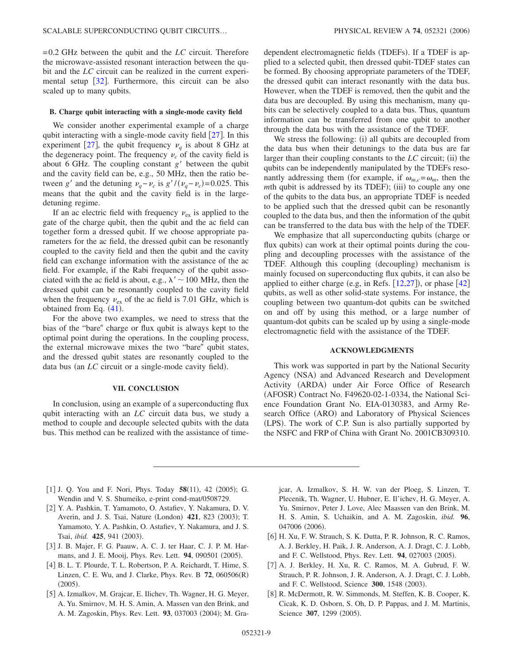= 0.2 GHz between the qubit and the *LC* circuit. Therefore the microwave-assisted resonant interaction between the qubit and the *LC* circuit can be realized in the current experimental setup  $\lceil 32 \rceil$  $\lceil 32 \rceil$  $\lceil 32 \rceil$ . Furthermore, this circuit can be also scaled up to many qubits.

## **B. Charge qubit interacting with a single-mode cavity field**

We consider another experimental example of a charge qubit interacting with a single-mode cavity field  $\lceil 27 \rceil$  $\lceil 27 \rceil$  $\lceil 27 \rceil$ . In this experiment [[27](#page-9-12)], the qubit frequency  $v_a$  is about 8 GHz at the degeneracy point. The frequency  $\nu_c$  of the cavity field is about 6 GHz. The coupling constant  $g'$  between the qubit and the cavity field can be, e.g., 50 MHz, then the ratio between *g*' and the detuning  $v_q - v_c$  is  $g'/(v_q - v_c) = 0.025$ . This means that the qubit and the cavity field is in the largedetuning regime.

If an ac electric field with frequency  $v_{ex}$  is applied to the gate of the charge qubit, then the qubit and the ac field can together form a dressed qubit. If we choose appropriate parameters for the ac field, the dressed qubit can be resonantly coupled to the cavity field and then the qubit and the cavity field can exchange information with the assistance of the ac field. For example, if the Rabi frequency of the qubit associated with the ac field is about, e.g.,  $\lambda' \sim 100$  MHz, then the dressed qubit can be resonantly coupled to the cavity field when the frequency  $v_{ex}$  of the ac field is 7.01 GHz, which is obtained from Eq.  $(41)$  $(41)$  $(41)$ .

For the above two examples, we need to stress that the bias of the "bare" charge or flux qubit is always kept to the optimal point during the operations. In the coupling process, the external microwave mixes the two "bare" qubit states, and the dressed qubit states are resonantly coupled to the data bus (an *LC* circuit or a single-mode cavity field).

## **VII. CONCLUSION**

In conclusion, using an example of a superconducting flux qubit interacting with an *LC* circuit data bus, we study a method to couple and decouple selected qubits with the data bus. This method can be realized with the assistance of time-

dependent electromagnetic fields (TDEFs). If a TDEF is applied to a selected qubit, then dressed qubit-TDEF states can be formed. By choosing appropriate parameters of the TDEF, the dressed qubit can interact resonantly with the data bus. However, when the TDEF is removed, then the qubit and the data bus are decoupled. By using this mechanism, many qubits can be selectively coupled to a data bus. Thus, quantum information can be transferred from one qubit to another through the data bus with the assistance of the TDEF.

We stress the following: (i) all qubits are decoupled from the data bus when their detunings to the data bus are far larger than their coupling constants to the *LC* circuit; (ii) the qubits can be independently manipulated by the TDEFs resonantly addressing them (for example, if  $\omega_{m,c} = \omega_m$ , then the mth qubit is addressed by its TDEF); (iii) to couple any one of the qubits to the data bus, an appropriate TDEF is needed to be applied such that the dressed qubit can be resonantly coupled to the data bus, and then the information of the qubit can be transferred to the data bus with the help of the TDEF.

We emphasize that all superconducting qubits (charge or flux qubits) can work at their optimal points during the coupling and decoupling processes with the assistance of the TDEF. Although this coupling (decoupling) mechanism is mainly focused on superconducting flux qubits, it can also be applied to either charge (e.g, in Refs.  $[12,27]$  $[12,27]$  $[12,27]$  $[12,27]$ ), or phase  $[42]$  $[42]$  $[42]$ qubits, as well as other solid-state systems. For instance, the coupling between two quantum-dot qubits can be switched on and off by using this method, or a large number of quantum-dot qubits can be scaled up by using a single-mode electromagnetic field with the assistance of the TDEF.

## **ACKNOWLEDGMENTS**

This work was supported in part by the National Security Agency (NSA) and Advanced Research and Development Activity (ARDA) under Air Force Office of Research (AFOSR) Contract No. F49620-02-1-0334, the National Science Foundation Grant No. EIA-0130383, and Army Research Office (ARO) and Laboratory of Physical Sciences (LPS). The work of C.P. Sun is also partially supported by the NSFC and FRP of China with Grant No. 2001CB309310.

- <span id="page-8-0"></span>[1] J. Q. You and F. Nori, Phys. Today 58(11), 42 (2005); G. Wendin and V. S. Shumeiko, e-print cond-mat/0508729.
- <span id="page-8-1"></span>[2] Y. A. Pashkin, T. Yamamoto, O. Astafiev, Y. Nakamura, D. V. Averin, and J. S. Tsai, Nature (London) 421, 823 (2003); T. Yamamoto, Y. A. Pashkin, O. Astafiev, Y. Nakamura, and J. S. Tsai, *ibid.* 425, 941 (2003).
- <span id="page-8-2"></span>3 J. B. Majer, F. G. Paauw, A. C. J. ter Haar, C. J. P. M. Harmans, and J. E. Mooij, Phys. Rev. Lett. 94, 090501 (2005).
- [4] B. L. T. Plourde, T. L. Robertson, P. A. Reichardt, T. Hime, S. Linzen, C. E. Wu, and J. Clarke, Phys. Rev. B **72**, 060506R-  $(2005).$
- <span id="page-8-3"></span>[5] A. Izmalkov, M. Grajcar, E. Ilichev, Th. Wagner, H. G. Meyer, A. Yu. Smirnov, M. H. S. Amin, A. Massen van den Brink, and A. M. Zagoskin, Phys. Rev. Lett. 93, 037003 (2004); M. Gra-

jcar, A. Izmalkov, S. H. W. van der Ploeg, S. Linzen, T. Plecenik, Th. Wagner, U. Hubner, E. Il'ichev, H. G. Meyer, A. Yu. Smirnov, Peter J. Love, Alec Maassen van den Brink, M. H. S. Amin, S. Uchaikin, and A. M. Zagoskin, *ibid.* **96**, 047006 (2006).

- <span id="page-8-4"></span>[6] H. Xu, F. W. Strauch, S. K. Dutta, P. R. Johnson, R. C. Ramos, A. J. Berkley, H. Paik, J. R. Anderson, A. J. Dragt, C. J. Lobb, and F. C. Wellstood, Phys. Rev. Lett. 94, 027003 (2005).
- [7] A. J. Berkley, H. Xu, R. C. Ramos, M. A. Gubrud, F. W. Strauch, P. R. Johnson, J. R. Anderson, A. J. Dragt, C. J. Lobb, and F. C. Wellstood, Science 300, 1548 (2003).
- <span id="page-8-5"></span>[8] R. McDermott, R. W. Simmonds, M. Steffen, K. B. Cooper, K. Cicak, K. D. Osborn, S. Oh, D. P. Pappas, and J. M. Martinis, Science 307, 1299 (2005).